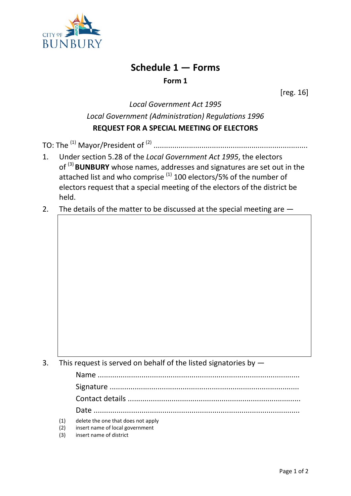

## **Schedule 1 — Forms Form 1**

[reg. 16]

## *Local Government Act 1995 Local Government (Administration) Regulations 1996* **REQUEST FOR A SPECIAL MEETING OF ELECTORS**

TO: The (1) Mayor/President of (2) ..........................................................................

- 1. Under section 5.28 of the *Local Government Act 1995*, the electors of (3) **BUNBURY** whose names, addresses and signatures are set out in the attached list and who comprise  $(1)$  100 electors/5% of the number of electors request that a special meeting of the electors of the district be held.
- 2. The details of the matter to be discussed at the special meeting are  $-$

| 3. This request is served on behalf of the listed signatories by $-$ |  |  |
|----------------------------------------------------------------------|--|--|
|                                                                      |  |  |

| (1) | delete the one that does not apply |
|-----|------------------------------------|

- (2) insert name of local government
- (3) insert name of district